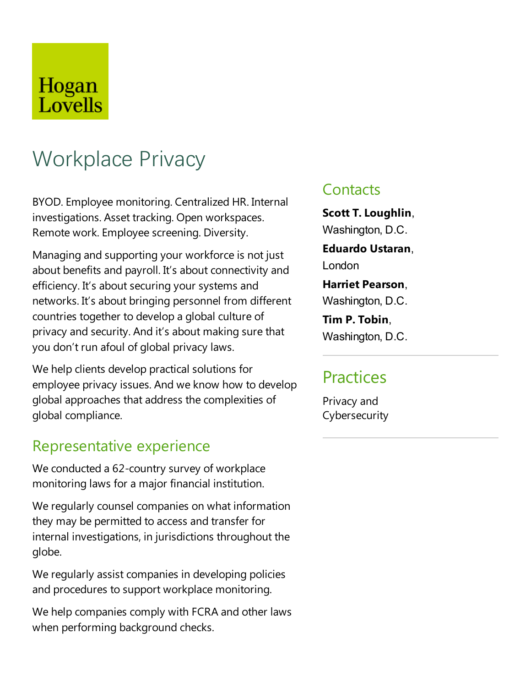# Hogan Lovells

# Workplace Privacy

BYOD.Employee monitoring. Centralized HR. Internal investigations. Asset tracking. Open workspaces. Remote work. Employee screening. Diversity.

Managing and supporting your workforce is not just about benefits and payroll. It's about connectivity and efficiency. It's about securing your systems and networks. It's about bringing personnel from different countries together to develop a global culture of privacy and security. And it's about making sure that you don't run afoul of global privacy laws.

We help clients develop practical solutions for employee privacy issues. And we know how to develop global approaches that address the complexities of global compliance.

### Representative experience

We conducted a 62-country survey of workplace monitoring laws for a major financial institution.

We regularly counsel companies on what information they may be permitted to access and transfer for internal investigations, in jurisdictions throughout the globe.

We regularly assist companies in developing policies and procedures to support workplace monitoring.

We help companies comply with FCRA and other laws when performing background checks.

### **Contacts**

**Scott T.Loughlin**, Washington, D.C.

**Eduardo Ustaran**, London

**Harriet Pearson**, Washington, D.C.

**Tim P. Tobin**, Washington, D.C.

## **Practices**

Privacy and Cybersecurity